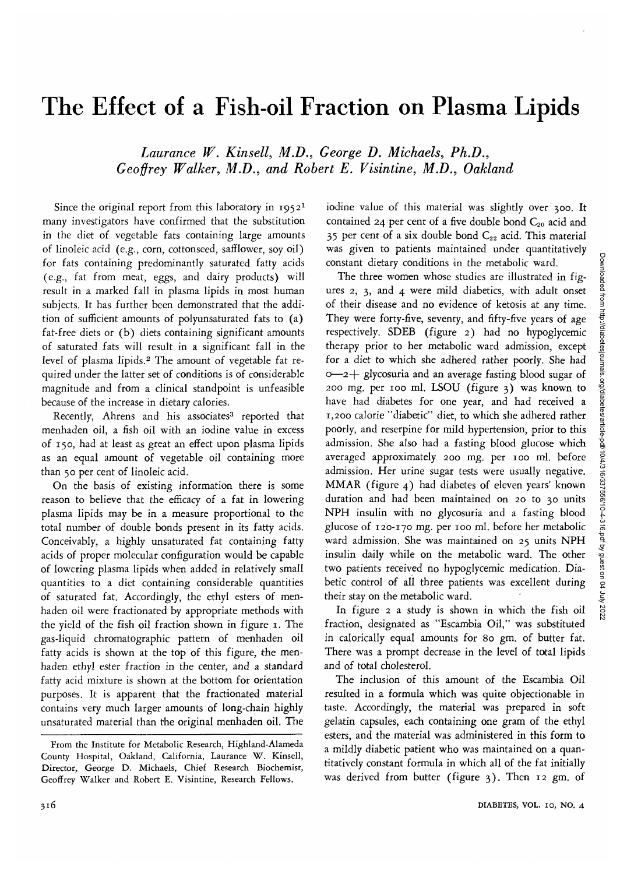# The Effect of a Fish-oil Fraction on Plasma Lipids

*Laurance W. Kinsell, M.D., George D. Michaels, Ph.D., Geoffrey Walker, M.D., and Robert E. Visintine, M.D., Oakland*

Since the original report from this laboratory in 1952<sup>1</sup> many investigators have confirmed that the substitution in the diet of vegetable fats containing large amounts of linoleic acid (e.g., corn, cottonseed, safflower, soy oil) for fats containing predominantly saturated fatty acids (e.g., fat from meat, eggs, and dairy products) will result in a marked fall in plasma lipids in most human subjects. It has further been demonstrated that the addition of sufficient amounts of polyunsaturated fats to (a) fat-free diets or (b) diets containing significant amounts of saturated fats will result in a significant fall in the level of plasma lipids.<sup>2</sup> The amount of vegetable fat required under the latter set of conditions is of considerable magnitude and from a clinical standpoint is unfeasible because of the increase in dietary calories.

Recently, Ahrens and his associates<sup>3</sup> reported that menhaden oil, a fish oil with an iodine value in excess of 150, had at least as great an effect upon plasma lipids as an equal amount of vegetable oil containing more than 50 per cent of linoleic acid.

On the basis of existing information there is some reason to believe that the efficacy of a fat in lowering plasma lipids may be in a measure proportional to the total number of double bonds present in its fatty acids. Conceivably, a highly unsaturated fat containing fatty acids of proper molecular configuration would be capable of lowering plasma lipids when added in relatively small quantities to a diet containing considerable quantities of saturated fat. Accordingly, the ethyl esters of menhaden oil were fractionated by appropriate methods with the yield of the fish oil fraction shown in figure 1. The gas-liquid chromatographic pattern of menhaden oil fatty acids is shown at the top of this figure, the menhaden ethyl ester fraction in the center, and a standard fatty acid mixture is shown at the bottom for orientation purposes. It is apparent that the fractionated material contains very much larger amounts of long-chain highly unsaturated material than the original menhaden oil. The iodine value of this material was slightly over 300. It contained 24 per cent of a five double bond  $C_{20}$  acid and 35 per cent of a six double bond  $C_{22}$  acid. This material was given to patients maintained under quantitatively constant dietary conditions in the metabolic ward.

The three women whose studies are illustrated in figures 2, 3, and 4 were mild diabetics, with adult onset of their disease and no evidence of ketosis at any time. They were forty-five, seventy, and fifty-five years of age respectively. SDEB (figure 2) had no hypoglycemic therapy prior to her metabolic ward admission, except for a diet to which she adhered rather poorly. She had o—*2-\-* glycosuria and an average fasting blood sugar of 200 mg. per 100 ml. LSOU (figure 3) was known to have had diabetes for one year, and had received a 1,200 calorie "diabetic" diet, to which she adhered rather poorly, and reserpine for mild hypertension, prior to this admission. She also had a fasting blood glucose which averaged approximately 200 mg. per 100 ml. before admission. Her urine sugar tests were usually negative. MMAR (figure 4) had diabetes of eleven years' known duration and had been maintained on 20 to 30 units NPH insulin with no glycosuria and a fasting blood glucose of 120-170 mg. per 100 ml. before her metabolic ward admission. She was maintained on 25 units NPH insulin daily while on the metabolic ward. The other two patients received no hypoglycemic medication. Diabetic control of all three patients was excellent during their stay on the metabolic ward.

In figure 2 a study is shown in which the fish oil fraction, designated as "Escambia Oil," was substituted in calorically equal amounts for 80 gm. of butter fat. There was a prompt decrease in the level of total lipids and of total cholesterol.

The inclusion of this amount of the Escambia Oil resulted in a formula which was quite objectionable in taste. Accordingly, the material was prepared in soft gelatin capsules, each containing one gram of the ethyl esters, and the material was administered in this form to a mildly diabetic patient who was maintained on a quantitatively constant formula in which all of the fat initially was derived from butter (figure 3). Then 12 gm. of

From the Institute for Metabolic Research, Highland-Alameda County Hospital, Oakland, California, Laurance W. Kinsell, Director, George D. Michaels, Chief Research Biochemist, Geoffrey Walker and Robert E. Visintine, Research Fellows.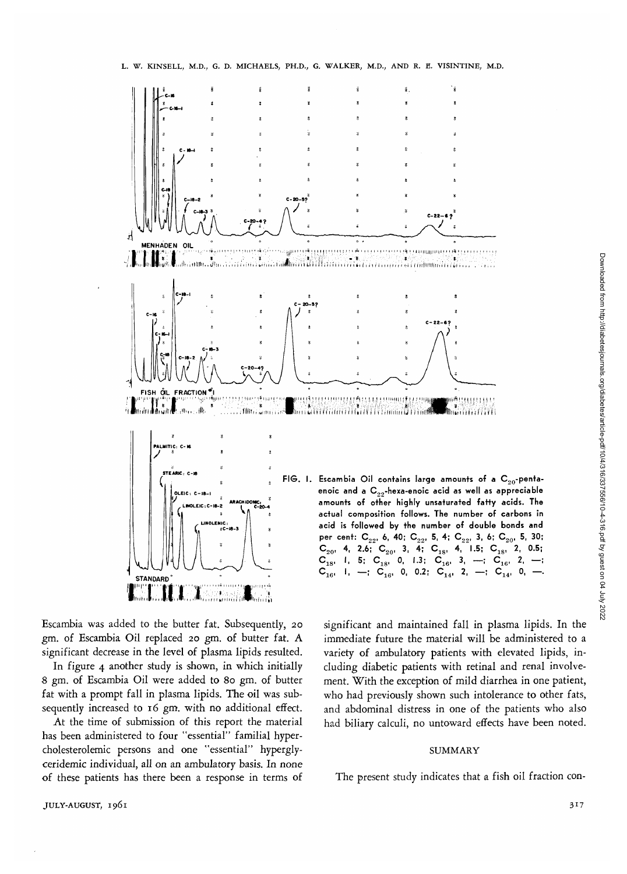

Escambia was added to the butter fat. Subsequently, 20 *gm.* of Escambia Oil replaced 20 gm. of butter fat. A significant decrease in the level of plasma lipids resulted.

In figure 4 another study is shown, in which initially *8* gm. of Escambia Oil were added to 80 gm. of butter fat with a prompt fall in plasma lipids. The oil was subsequently increased to 16 gm. with no additional effect.

At the time of submission of this report the material has been administered to four "essential" familial hypercholesterolemic persons and one "essential" hyperglyceridemic individual, all on an ambulatory basis. In none of these patients has there been a response in terms of significant and maintained fall in plasma lipids. In the immediate future the material will be administered to a variety of ambulatory patients with elevated lipids, including diabetic patients with retinal and renal involvement. With the exception of mild diarrhea in one patient, who had previously shown such intolerance to other fats, and abdominal distress in one of the patients who also had biliary calculi, no untoward effects have been noted.

#### SUMMARY

The present study indicates that a fish oil fraction con-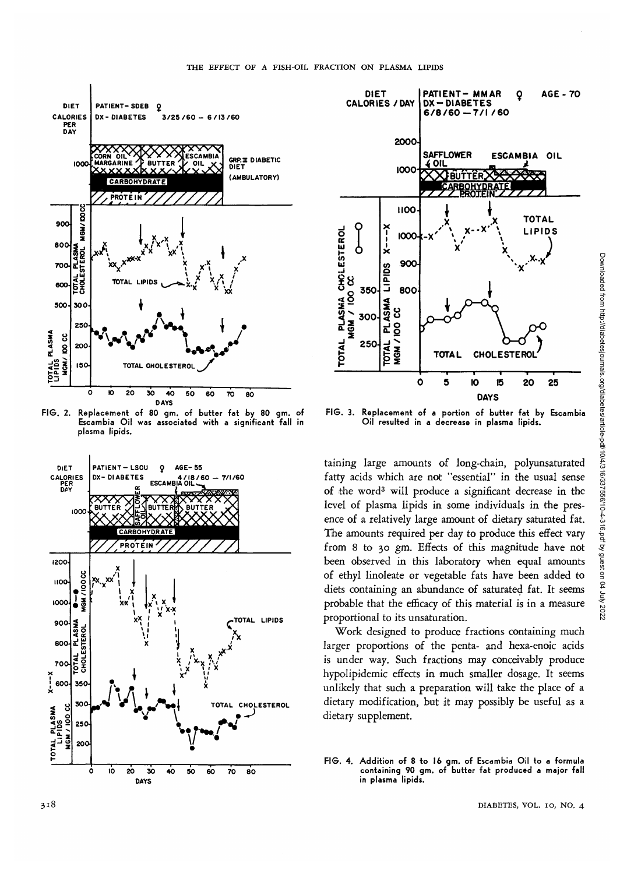

**FIG. 2. Replacement of 80 gm. of butter fat by 80 gm. of Escambia Oil was associated with a significant fall in plasma lipids.**





**FIG. 3. Replacement of a portion of butter fat by Escambia Oil resulted in a decrease in plasma lipids.**

taining large amounts of long-chain, polyunsaturated fatty acids which are not "essential" in the usual sense of the word<sup>3</sup> will produce a significant decrease in the level of plasma lipids in some individuals in the presence of a relatively large amount of dietary saturated fat. The amounts required per day to produce this effect vary from 8 to 30 gm. Effects of this magnitude have not been observed in this laboratory when equal amounts of ethyl linoleate or vegetable fats have been added to diets containing an abundance of saturated fat. It seems probable that the efficacy of this material is in a measure proportional to its unsaturation.

Work designed to produce fractions containing much larger proportions of the penta- and hexa-enoic acids is under way. Such fractions may conceivably produce hypolipidemic effects in much smaller dosage. It seems unlikely that such a preparation will take the place of a dietary modification, but it may possibly be useful as a dietary supplement.

**FIG. 4. Addition of 8 to 16 gm. of Escambia Oil to a formula containing 90 gm. of butter fat produced a major fall in plasma lipids.**